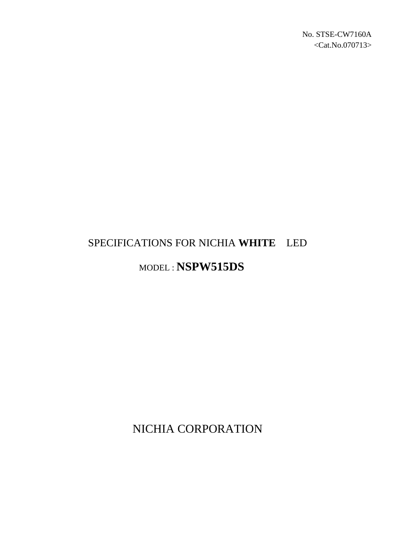# SPECIFICATIONS FOR NICHIA **WHITE** LED

## MODEL : **NSPW515DS**

NICHIA CORPORATION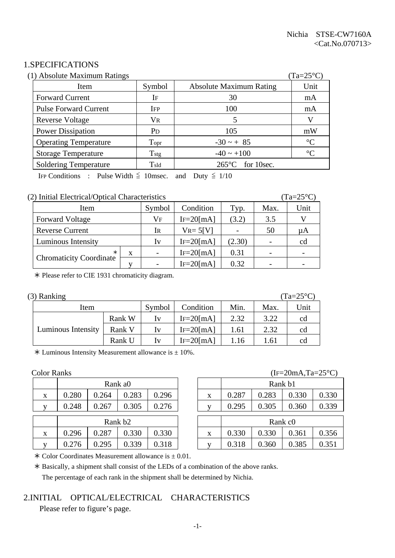#### 1.SPECIFICATIONS

| (1) Absolute Maximum Ratings |                       |                                | $(Ta=25^{\circ}C)$ |
|------------------------------|-----------------------|--------------------------------|--------------------|
| Item                         | Symbol                | <b>Absolute Maximum Rating</b> | Unit               |
| <b>Forward Current</b>       | IF                    | 30                             | mA                 |
| <b>Pulse Forward Current</b> | <b>IFP</b>            | 100                            | mA                 |
| <b>Reverse Voltage</b>       | $V_{R}$               |                                | V                  |
| <b>Power Dissipation</b>     | <b>P</b> <sub>D</sub> | 105                            | mW                 |
| <b>Operating Temperature</b> | Topr                  | $-30 \sim + 85$                | $\rm ^{\circ}C$    |
| <b>Storage Temperature</b>   | $T_{\rm stg}$         | $-40 \sim +100$                | $\rm ^{\circ}C$    |
| <b>Soldering Temperature</b> | $T_{\rm sld}$         | for 10sec.<br>$265^{\circ}$ C  |                    |

IFP Conditions : Pulse Width  $\leq$  10msec. and Duty  $\leq$  1/10

#### (2) Initial Electrical/Optical Characteristics (Ta=25°C)

| Item                           |    | Symbol                   | Condition      | Typ.   | Max. | Unit |
|--------------------------------|----|--------------------------|----------------|--------|------|------|
| <b>Forward Voltage</b>         | Vf | $IF=20$ [mA]             | (3.2)          | 3.5    |      |      |
| <b>Reverse Current</b>         |    | Ir                       | $V_{R} = 5[V]$ |        | 50   | иA   |
| Luminous Intensity             |    | Iv                       | $IF=20$ [mA]   | (2.30) |      | cd   |
| X                              |    | $\overline{\phantom{0}}$ | $IF=20$ [mA]   | 0.31   |      |      |
| <b>Chromaticity Coordinate</b> |    |                          | $IF = 20$ [mA] | 0.32   |      |      |

½ Please refer to CIE 1931 chromaticity diagram.

| $(3)$ Ranking |
|---------------|
|               |

| (3) Ranking        |        |                         |                |      |      | $(Ta=25^{\circ}C)$ |
|--------------------|--------|-------------------------|----------------|------|------|--------------------|
| Item               | Symbol | Condition               | Min.           | Max. | Unit |                    |
|                    | Rank W | $I_{V}$                 | $IF = 20$ [mA] | 2.32 | 3.22 | cd                 |
| Luminous Intensity | Rank V | Iv                      | $IF=20$ [mA]   | 1.61 | 2.32 | cd                 |
|                    | Rank U | $\mathbf{I} \mathbf{V}$ | $IF = 20$ [mA] | 1.16 | 1.61 | cd                 |

 $*$  Luminous Intensity Measurement allowance is  $\pm$  10%.

|   |                     | Rank a0 |       |       |  |              |       |       | Rank b1             |
|---|---------------------|---------|-------|-------|--|--------------|-------|-------|---------------------|
| X | 0.280               | 0.264   | 0.283 | 0.296 |  | X            | 0.287 | 0.283 | 0.3                 |
|   | 0.248               | 0.267   | 0.305 | 0.276 |  |              | 0.295 | 0.305 | 0.3                 |
|   | Rank b <sub>2</sub> |         |       |       |  |              |       |       | Rank c <sub>0</sub> |
| X | 0.296               | 0.287   | 0.330 | 0.330 |  | X            | 0.330 | 0.330 | 0.3                 |
| V | .276                | .295    | 0.339 | ).318 |  | $\mathbf{V}$ |       | 0.360 | $0.\overline{3}$    |

#### Color Ranks (IF=20mA,Ta=25°C)

|   | Rank a0             |       |       |       |  |   | Rank b1 |                     |       |       |
|---|---------------------|-------|-------|-------|--|---|---------|---------------------|-------|-------|
| X | 0.280               | 0.264 | 0.283 | 0.296 |  | X | 0.287   | 0.283               | 0.330 | 0.330 |
| V | 0.248               | 0.267 | 0.305 | 0.276 |  |   | 0.295   | 0.305               | 0.360 | 0.339 |
|   | Rank b <sub>2</sub> |       |       |       |  |   |         | Rank c <sub>0</sub> |       |       |
|   |                     |       |       |       |  |   |         |                     |       |       |
| X | 0.296               | 0.287 | 0.330 | 0.330 |  | X | 0.330   | 0.330               | 0.361 | 0.356 |
| V | 0.276               | 0.295 | 0.339 | 0.318 |  |   | 0.318   | 0.360               | 0.385 | 0.351 |

 $\ast$  Color Coordinates Measurement allowance is  $\pm$  0.01.

½ Basically, a shipment shall consist of the LEDs of a combination of the above ranks. The percentage of each rank in the shipment shall be determined by Nichia.

#### 2.INITIAL OPTICAL/ELECTRICAL CHARACTERISTICS

Please refer to figure's page.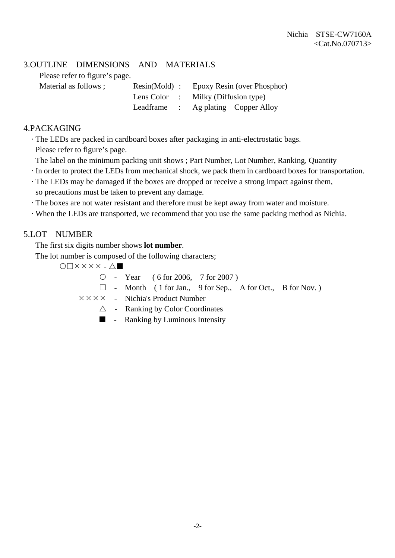#### 3.OUTLINE DIMENSIONS AND MATERIALS

Please refer to figure's page.

| Material as follows ; | $Resin(Mold)$ : | Epoxy Resin (over Phosphor)         |
|-----------------------|-----------------|-------------------------------------|
|                       |                 | Lens Color : Milky (Diffusion type) |
|                       |                 | Leadframe : Ag plating Copper Alloy |

#### 4.PACKAGING

· The LEDs are packed in cardboard boxes after packaging in anti-electrostatic bags.

Please refer to figure's page.

- The label on the minimum packing unit shows ; Part Number, Lot Number, Ranking, Quantity
- · In order to protect the LEDs from mechanical shock, we pack them in cardboard boxes for transportation.
- · The LEDs may be damaged if the boxes are dropped or receive a strong impact against them, so precautions must be taken to prevent any damage.
- · The boxes are not water resistant and therefore must be kept away from water and moisture.
- · When the LEDs are transported, we recommend that you use the same packing method as Nichia.

#### 5.LOT NUMBER

The first six digits number shows **lot number**.

The lot number is composed of the following characters;

 $\bigcap$   $\times$   $\times$   $\times$   $\times$   $\wedge$   $\blacksquare$ 

{ - Year ( 6 for 2006, 7 for 2007 )

- $\Box$  Month ( 1 for Jan., 9 for Sep., A for Oct., B for Nov.)
- $\times \times \times \times$  Nichia's Product Number
	- $\triangle$  Ranking by Color Coordinates
	- **-** Ranking by Luminous Intensity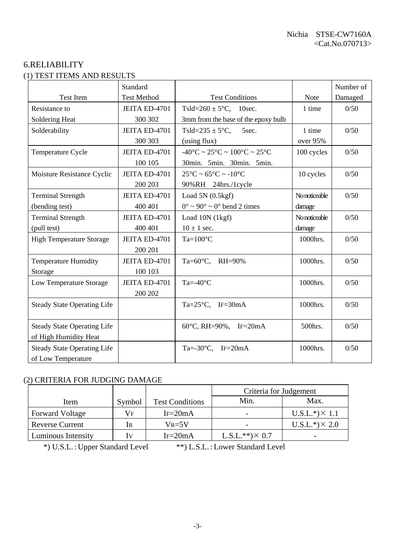#### 6.RELIABILITY (1) TEST ITEMS AND RESULTS

|                                    | Standard           |                                                                        |               | Number of |
|------------------------------------|--------------------|------------------------------------------------------------------------|---------------|-----------|
| <b>Test Item</b>                   | <b>Test Method</b> | <b>Test Conditions</b>                                                 | Note          | Damaged   |
| Resistance to                      | JEITA ED-4701      | Tsld= $260 \pm 5^{\circ}$ C, 10sec.                                    | 1 time        | 0/50      |
| Soldering Heat                     | 300 302            | 3mm from the base of the epoxy bulb                                    |               |           |
| Solderability                      | JEITA ED-4701      | Tsld= $235 \pm 5$ °C,<br>5sec.                                         | 1 time        | 0/50      |
|                                    | 300 303            | (using flux)                                                           | over 95%      |           |
| Temperature Cycle                  | JEITA ED-4701      | $-40^{\circ}$ C ~ 25 $^{\circ}$ C ~ 100 $^{\circ}$ C ~ 25 $^{\circ}$ C | 100 cycles    | 0/50      |
|                                    | 100 105            | 30min. 5min. 30min. 5min.                                              |               |           |
| Moisture Resistance Cyclic         | JEITA ED-4701      | $25^{\circ}$ C ~ 65 $^{\circ}$ C ~ -10 $^{\circ}$ C                    | 10 cycles     | 0/50      |
|                                    | 200 203            | 90%RH 24hrs./1cycle                                                    |               |           |
| <b>Terminal Strength</b>           | JEITA ED-4701      | Load $5N(0.5kgf)$                                                      | No noticeable | 0/50      |
| (bending test)                     | 400 401            | $0^{\circ} \sim 90^{\circ} \sim 0^{\circ}$ bend 2 times                | damage        |           |
| <b>Terminal Strength</b>           | JEITA ED-4701      | Load 10N (1kgf)                                                        | No noticeable | 0/50      |
| (pull test)                        | 400 401            | $10 \pm 1$ sec.                                                        | damage        |           |
| <b>High Temperature Storage</b>    | JEITA ED-4701      | $Ta=100^{\circ}C$                                                      | 1000hrs.      | 0/50      |
|                                    | 200 201            |                                                                        |               |           |
| <b>Temperature Humidity</b>        | JEITA ED-4701      | Ta= $60^{\circ}$ C, RH= $90\%$                                         | 1000hrs.      | 0/50      |
| Storage                            | 100 103            |                                                                        |               |           |
| Low Temperature Storage            | JEITA ED-4701      | Ta=- $40^{\circ}$ C                                                    | 1000hrs.      | 0/50      |
|                                    | 200 202            |                                                                        |               |           |
| <b>Steady State Operating Life</b> |                    | Ta= $25^{\circ}$ C, IF=30mA                                            | 1000hrs.      | 0/50      |
|                                    |                    |                                                                        |               |           |
| <b>Steady State Operating Life</b> |                    | 60°C, RH=90%, IF=20mA                                                  | 500hrs.       | 0/50      |
| of High Humidity Heat              |                    |                                                                        |               |           |
| <b>Steady State Operating Life</b> |                    | Ta=-30 $\textdegree$ C, IF=20mA                                        | 1000hrs.      | 0/50      |
| of Low Temperature                 |                    |                                                                        |               |           |

### (2) CRITERIA FOR JUDGING DAMAGE

| 2) CNHENIA FON JODOINO DAMAOE |                |                        |                        |                       |  |  |  |
|-------------------------------|----------------|------------------------|------------------------|-----------------------|--|--|--|
|                               |                |                        | Criteria for Judgement |                       |  |  |  |
| Item                          | Symbol         | <b>Test Conditions</b> | Min.                   | Max.                  |  |  |  |
| <b>Forward Voltage</b>        | Vf             | $IF = 20mA$            |                        | $U.S.L.*) \times 1.1$ |  |  |  |
| <b>Reverse Current</b>        | 1 <sub>R</sub> | $V_{R=5}V$             |                        | $U.S.L.*) \times 2.0$ |  |  |  |
| Luminous Intensity            | $_{\rm IV}$    | $IF=20mA$              | $L.S.L.**)\times 0.7$  |                       |  |  |  |

\*) U.S.L. : Upper Standard Level \*\*) L.S.L. : Lower Standard Level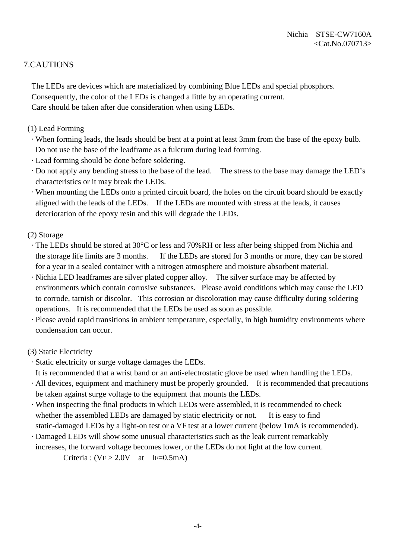#### 7.CAUTIONS

 The LEDs are devices which are materialized by combining Blue LEDs and special phosphors. Consequently, the color of the LEDs is changed a little by an operating current. Care should be taken after due consideration when using LEDs.

- (1) Lead Forming
	- · When forming leads, the leads should be bent at a point at least 3mm from the base of the epoxy bulb. Do not use the base of the leadframe as a fulcrum during lead forming.
	- · Lead forming should be done before soldering.
- · Do not apply any bending stress to the base of the lead. The stress to the base may damage the LED's characteristics or it may break the LEDs.
- · When mounting the LEDs onto a printed circuit board, the holes on the circuit board should be exactly aligned with the leads of the LEDs. If the LEDs are mounted with stress at the leads, it causes deterioration of the epoxy resin and this will degrade the LEDs.
- (2) Storage
	- · The LEDs should be stored at 30°C or less and 70%RH or less after being shipped from Nichia and the storage life limits are 3 months. If the LEDs are stored for 3 months or more, they can be stored for a year in a sealed container with a nitrogen atmosphere and moisture absorbent material.
- · Nichia LED leadframes are silver plated copper alloy. The silver surface may be affected by environments which contain corrosive substances. Please avoid conditions which may cause the LED to corrode, tarnish or discolor. This corrosion or discoloration may cause difficulty during soldering operations. It is recommended that the LEDs be used as soon as possible.
- · Please avoid rapid transitions in ambient temperature, especially, in high humidity environments where condensation can occur.

#### (3) Static Electricity

- · Static electricity or surge voltage damages the LEDs.
- It is recommended that a wrist band or an anti-electrostatic glove be used when handling the LEDs.
- · All devices, equipment and machinery must be properly grounded. It is recommended that precautions be taken against surge voltage to the equipment that mounts the LEDs.
- · When inspecting the final products in which LEDs were assembled, it is recommended to check whether the assembled LEDs are damaged by static electricity or not. It is easy to find static-damaged LEDs by a light-on test or a VF test at a lower current (below 1mA is recommended).
- · Damaged LEDs will show some unusual characteristics such as the leak current remarkably increases, the forward voltage becomes lower, or the LEDs do not light at the low current.

Criteria :  $(VF > 2.0V$  at IF=0.5mA)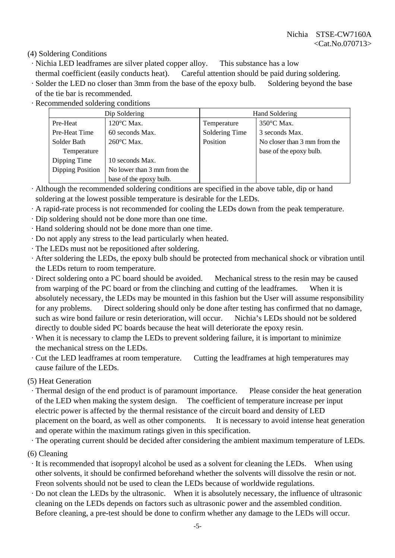(4) Soldering Conditions

- · Nichia LED leadframes are silver plated copper alloy. This substance has a low
- thermal coefficient (easily conducts heat). Careful attention should be paid during soldering.
- · Solder the LED no closer than 3mm from the base of the epoxy bulb. Soldering beyond the base of the tie bar is recommended.
- · Recommended soldering conditions

|                  | Dip Soldering               | Hand Soldering |                              |  |  |  |  |
|------------------|-----------------------------|----------------|------------------------------|--|--|--|--|
| Pre-Heat         | $120^{\circ}$ C Max.        | Temperature    | $350^{\circ}$ C Max.         |  |  |  |  |
| Pre-Heat Time    | 60 seconds Max.             | Soldering Time | 3 seconds Max.               |  |  |  |  |
| Solder Bath      | 260°C Max.                  | Position       | No closer than 3 mm from the |  |  |  |  |
| Temperature      |                             |                | base of the epoxy bulb.      |  |  |  |  |
| Dipping Time     | 10 seconds Max.             |                |                              |  |  |  |  |
| Dipping Position | No lower than 3 mm from the |                |                              |  |  |  |  |
|                  | base of the epoxy bulb.     |                |                              |  |  |  |  |

- · Although the recommended soldering conditions are specified in the above table, dip or hand soldering at the lowest possible temperature is desirable for the LEDs.
- · A rapid-rate process is not recommended for cooling the LEDs down from the peak temperature.
- · Dip soldering should not be done more than one time.
- · Hand soldering should not be done more than one time.
- · Do not apply any stress to the lead particularly when heated.
- · The LEDs must not be repositioned after soldering.
- · After soldering the LEDs, the epoxy bulb should be protected from mechanical shock or vibration until the LEDs return to room temperature.
- · Direct soldering onto a PC board should be avoided. Mechanical stress to the resin may be caused from warping of the PC board or from the clinching and cutting of the leadframes. When it is absolutely necessary, the LEDs may be mounted in this fashion but the User will assume responsibility for any problems. Direct soldering should only be done after testing has confirmed that no damage, such as wire bond failure or resin deterioration, will occur. Nichia's LEDs should not be soldered directly to double sided PC boards because the heat will deteriorate the epoxy resin.
- · When it is necessary to clamp the LEDs to prevent soldering failure, it is important to minimize the mechanical stress on the LEDs.
- · Cut the LED leadframes at room temperature. Cutting the leadframes at high temperatures may cause failure of the LEDs.

(5) Heat Generation

 · Thermal design of the end product is of paramount importance. Please consider the heat generation of the LED when making the system design. The coefficient of temperature increase per input electric power is affected by the thermal resistance of the circuit board and density of LED placement on the board, as well as other components. It is necessary to avoid intense heat generation and operate within the maximum ratings given in this specification.

· The operating current should be decided after considering the ambient maximum temperature of LEDs.

- (6) Cleaning
	- · It is recommended that isopropyl alcohol be used as a solvent for cleaning the LEDs. When using other solvents, it should be confirmed beforehand whether the solvents will dissolve the resin or not. Freon solvents should not be used to clean the LEDs because of worldwide regulations.
- · Do not clean the LEDs by the ultrasonic. When it is absolutely necessary, the influence of ultrasonic cleaning on the LEDs depends on factors such as ultrasonic power and the assembled condition. Before cleaning, a pre-test should be done to confirm whether any damage to the LEDs will occur.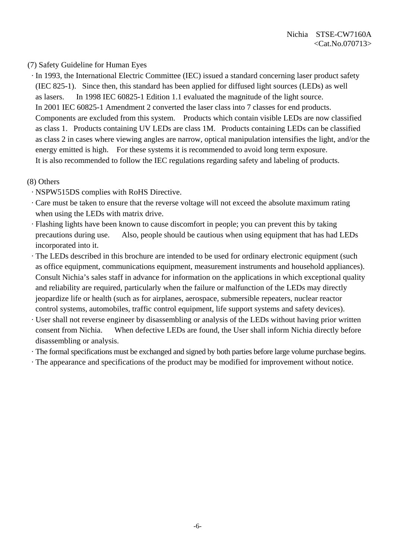#### (7) Safety Guideline for Human Eyes

 · In 1993, the International Electric Committee (IEC) issued a standard concerning laser product safety (IEC 825-1). Since then, this standard has been applied for diffused light sources (LEDs) as well as lasers. In 1998 IEC 60825-1 Edition 1.1 evaluated the magnitude of the light source. In 2001 IEC 60825-1 Amendment 2 converted the laser class into 7 classes for end products. Components are excluded from this system. Products which contain visible LEDs are now classified as class 1. Products containing UV LEDs are class 1M. Products containing LEDs can be classified as class 2 in cases where viewing angles are narrow, optical manipulation intensifies the light, and/or the energy emitted is high. For these systems it is recommended to avoid long term exposure. It is also recommended to follow the IEC regulations regarding safety and labeling of products.

#### (8) Others

- · NSPW515DS complies with RoHS Directive.
- · Care must be taken to ensure that the reverse voltage will not exceed the absolute maximum rating when using the LEDs with matrix drive.
- · Flashing lights have been known to cause discomfort in people; you can prevent this by taking precautions during use. Also, people should be cautious when using equipment that has had LEDs incorporated into it.
- · The LEDs described in this brochure are intended to be used for ordinary electronic equipment (such as office equipment, communications equipment, measurement instruments and household appliances). Consult Nichia's sales staff in advance for information on the applications in which exceptional quality and reliability are required, particularly when the failure or malfunction of the LEDs may directly jeopardize life or health (such as for airplanes, aerospace, submersible repeaters, nuclear reactor control systems, automobiles, traffic control equipment, life support systems and safety devices).
- · User shall not reverse engineer by disassembling or analysis of the LEDs without having prior written consent from Nichia. When defective LEDs are found, the User shall inform Nichia directly before disassembling or analysis.
- · The formal specifications must be exchanged and signed by both parties before large volume purchase begins.
- · The appearance and specifications of the product may be modified for improvement without notice.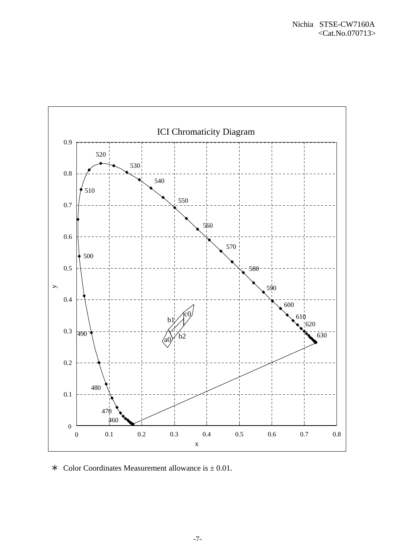

 $\ast$  Color Coordinates Measurement allowance is  $\pm$  0.01.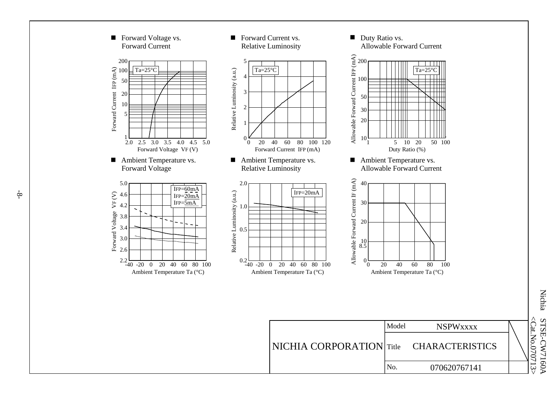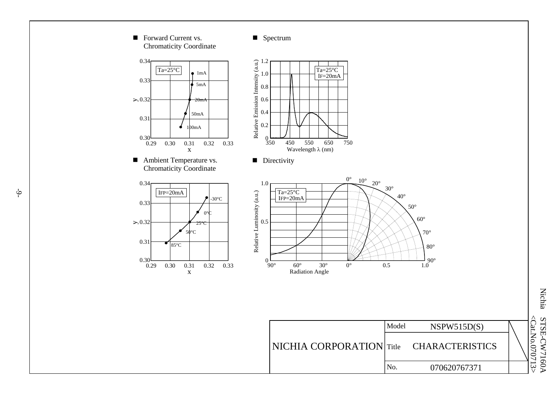

 $\frac{1}{2}$ 

Nichia <Cat.No.<Cat.No.070713> STSE-CW7160A STSE-CW7160A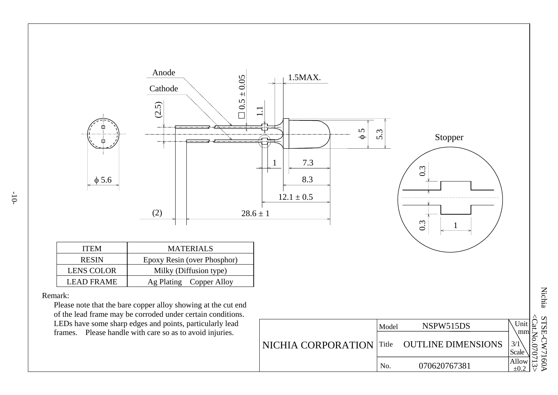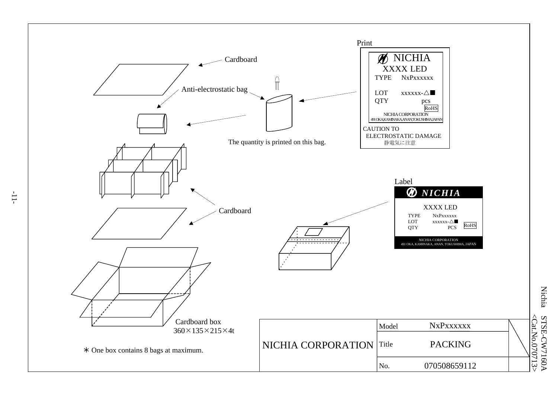

Nichia STSE-CW7160 STSE-CW7160A <Cat.No.070713 <Cat.No.070713>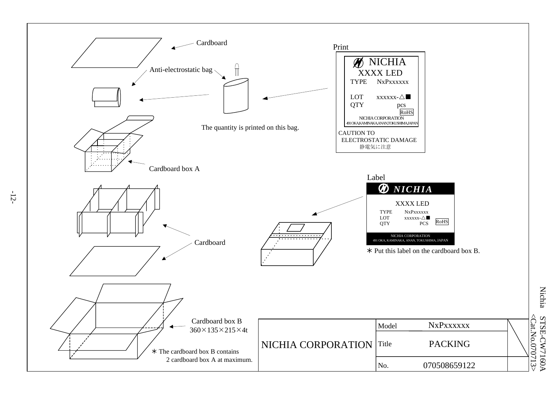

-12-

**Nichia** Nichia STSE-CW7160  $\leq$ Cat.No.0 STSE-CW7160A 70713 >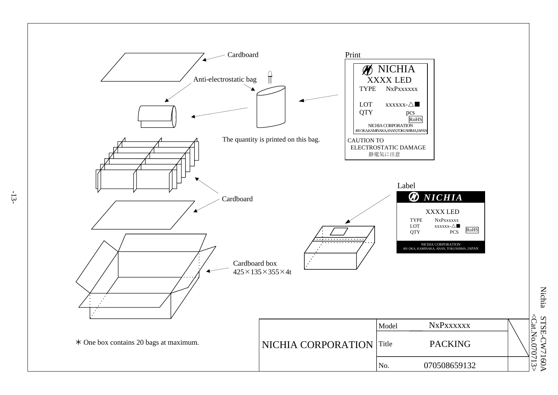

-13-

**Nichia** Nichia STSE-CW7160 STSE-CW7160A